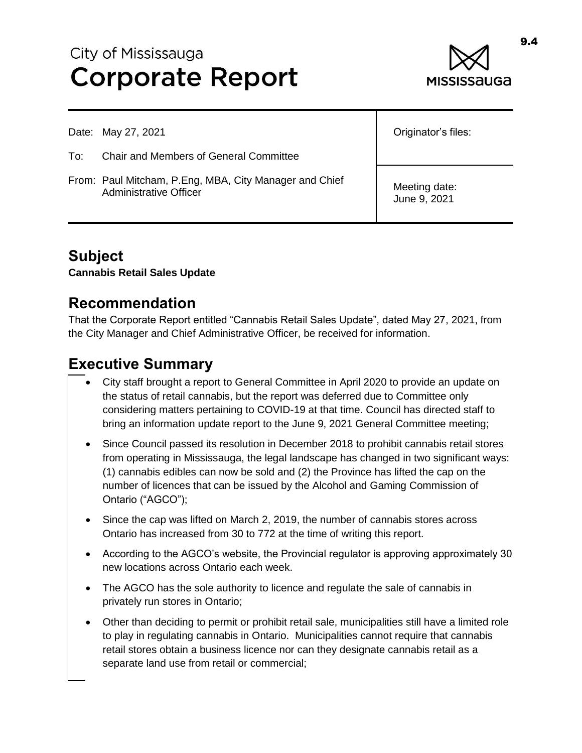# City of Mississauga **Corporate Report**



|     | Date: May 27, 2021                                                               | Originator's files:           |
|-----|----------------------------------------------------------------------------------|-------------------------------|
| To: | <b>Chair and Members of General Committee</b>                                    |                               |
|     | From: Paul Mitcham, P.Eng, MBA, City Manager and Chief<br>Administrative Officer | Meeting date:<br>June 9, 2021 |

# **Subject**

**Cannabis Retail Sales Update**

### **Recommendation**

That the Corporate Report entitled "Cannabis Retail Sales Update", dated May 27, 2021, from the City Manager and Chief Administrative Officer, be received for information.

# **Executive Summary**

- City staff brought a report to General Committee in April 2020 to provide an update on the status of retail cannabis, but the report was deferred due to Committee only considering matters pertaining to COVID-19 at that time. Council has directed staff to bring an information update report to the June 9, 2021 General Committee meeting;
- Since Council passed its resolution in December 2018 to prohibit cannabis retail stores from operating in Mississauga, the legal landscape has changed in two significant ways: (1) cannabis edibles can now be sold and (2) the Province has lifted the cap on the number of licences that can be issued by the Alcohol and Gaming Commission of Ontario ("AGCO");
- Since the cap was lifted on March 2, 2019, the number of cannabis stores across Ontario has increased from 30 to 772 at the time of writing this report.
- According to the AGCO's website, the Provincial regulator is approving approximately 30 new locations across Ontario each week.
- The AGCO has the sole authority to licence and regulate the sale of cannabis in privately run stores in Ontario;
- Other than deciding to permit or prohibit retail sale, municipalities still have a limited role to play in regulating cannabis in Ontario. Municipalities cannot require that cannabis retail stores obtain a business licence nor can they designate cannabis retail as a separate land use from retail or commercial;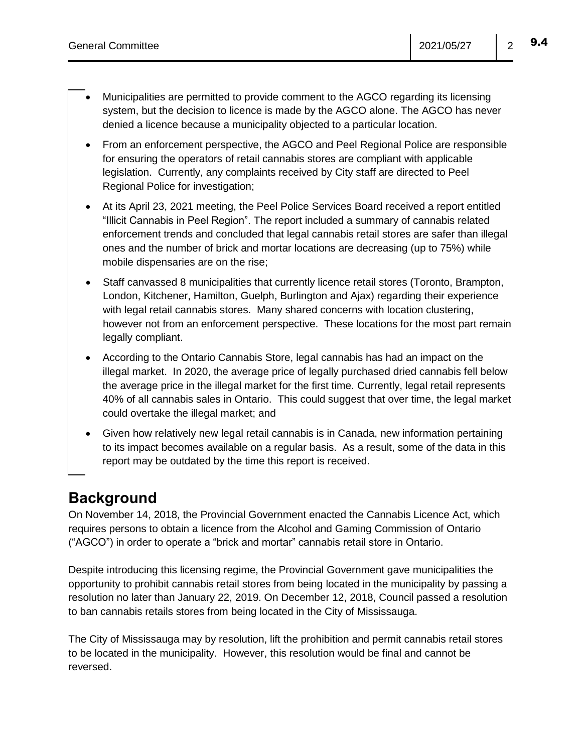- Municipalities are permitted to provide comment to the AGCO regarding its licensing system, but the decision to licence is made by the AGCO alone. The AGCO has never denied a licence because a municipality objected to a particular location.
- From an enforcement perspective, the AGCO and Peel Regional Police are responsible for ensuring the operators of retail cannabis stores are compliant with applicable legislation. Currently, any complaints received by City staff are directed to Peel Regional Police for investigation;
- At its April 23, 2021 meeting, the Peel Police Services Board received a report entitled "Illicit Cannabis in Peel Region". The report included a summary of cannabis related enforcement trends and concluded that legal cannabis retail stores are safer than illegal ones and the number of brick and mortar locations are decreasing (up to 75%) while mobile dispensaries are on the rise;
- Staff canvassed 8 municipalities that currently licence retail stores (Toronto, Brampton, London, Kitchener, Hamilton, Guelph, Burlington and Ajax) regarding their experience with legal retail cannabis stores. Many shared concerns with location clustering, however not from an enforcement perspective. These locations for the most part remain legally compliant.
- According to the Ontario Cannabis Store, legal cannabis has had an impact on the illegal market. In 2020, the average price of legally purchased dried cannabis fell below the average price in the illegal market for the first time. Currently, legal retail represents 40% of all cannabis sales in Ontario. This could suggest that over time, the legal market could overtake the illegal market; and
- Given how relatively new legal retail cannabis is in Canada, new information pertaining to its impact becomes available on a regular basis. As a result, some of the data in this report may be outdated by the time this report is received.

# **Background**

On November 14, 2018, the Provincial Government enacted the Cannabis Licence Act, which requires persons to obtain a licence from the Alcohol and Gaming Commission of Ontario ("AGCO") in order to operate a "brick and mortar" cannabis retail store in Ontario.

Despite introducing this licensing regime, the Provincial Government gave municipalities the opportunity to prohibit cannabis retail stores from being located in the municipality by passing a resolution no later than January 22, 2019. On December 12, 2018, Council passed a resolution to ban cannabis retails stores from being located in the City of Mississauga.

The City of Mississauga may by resolution, lift the prohibition and permit cannabis retail stores to be located in the municipality. However, this resolution would be final and cannot be reversed.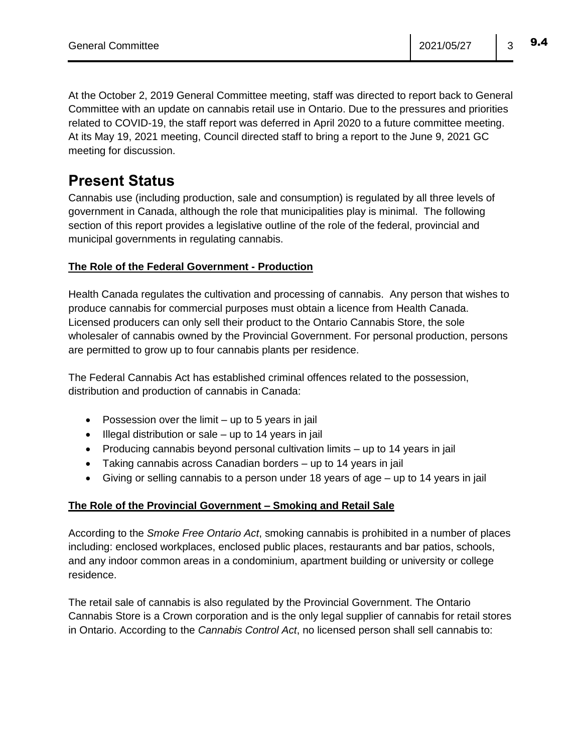At the October 2, 2019 General Committee meeting, staff was directed to report back to General Committee with an update on cannabis retail use in Ontario. Due to the pressures and priorities related to COVID-19, the staff report was deferred in April 2020 to a future committee meeting. At its May 19, 2021 meeting, Council directed staff to bring a report to the June 9, 2021 GC meeting for discussion.

# **Present Status**

Cannabis use (including production, sale and consumption) is regulated by all three levels of government in Canada, although the role that municipalities play is minimal. The following section of this report provides a legislative outline of the role of the federal, provincial and municipal governments in regulating cannabis.

#### **The Role of the Federal Government - Production**

Health Canada regulates the cultivation and processing of cannabis. Any person that wishes to produce cannabis for commercial purposes must obtain a licence from Health Canada. Licensed producers can only sell their product to the Ontario Cannabis Store, the sole wholesaler of cannabis owned by the Provincial Government. For personal production, persons are permitted to grow up to four cannabis plants per residence.

The Federal Cannabis Act has established criminal offences related to the possession, distribution and production of cannabis in Canada:

- Possession over the limit  $-$  up to 5 years in jail
- Illegal distribution or sale up to 14 years in jail
- Producing cannabis beyond personal cultivation limits up to 14 years in jail
- Taking cannabis across Canadian borders up to 14 years in jail
- Giving or selling cannabis to a person under 18 years of age up to 14 years in jail

#### **The Role of the Provincial Government – Smoking and Retail Sale**

According to the *Smoke Free Ontario Act*, smoking cannabis is prohibited in a number of places including: enclosed workplaces, enclosed public places, restaurants and bar patios, schools, and any indoor common areas in a condominium, apartment building or university or college residence.

The retail sale of cannabis is also regulated by the Provincial Government. The Ontario Cannabis Store is a Crown corporation and is the only legal supplier of cannabis for retail stores in Ontario. According to the *Cannabis Control Act*, no licensed person shall sell cannabis to: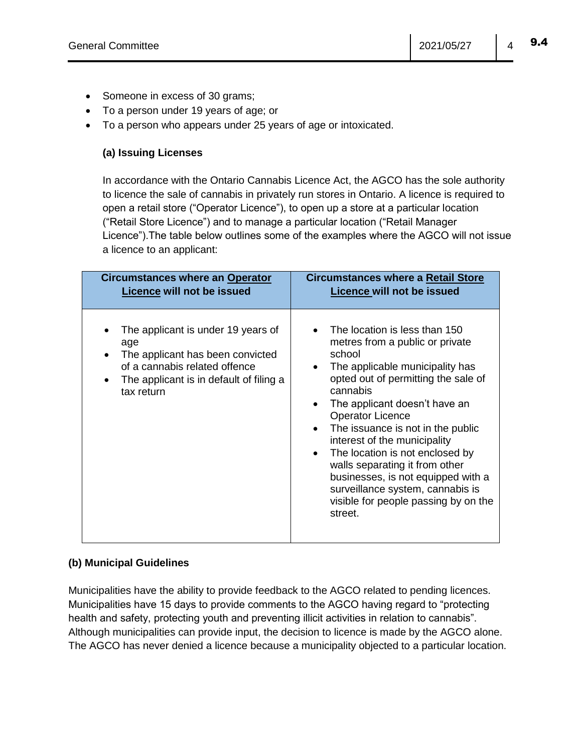- Someone in excess of 30 grams;
- To a person under 19 years of age; or
- To a person who appears under 25 years of age or intoxicated.

#### **(a) Issuing Licenses**

In accordance with the Ontario Cannabis Licence Act, the AGCO has the sole authority to licence the sale of cannabis in privately run stores in Ontario. A licence is required to open a retail store ("Operator Licence"), to open up a store at a particular location ("Retail Store Licence") and to manage a particular location ("Retail Manager Licence").The table below outlines some of the examples where the AGCO will not issue a licence to an applicant:

| <b>Circumstances where an Operator</b>                                                                                                                                  | <b>Circumstances where a Retail Store</b>                                                                                                                                                                                                                                                                                                                                                                                                                                                           |
|-------------------------------------------------------------------------------------------------------------------------------------------------------------------------|-----------------------------------------------------------------------------------------------------------------------------------------------------------------------------------------------------------------------------------------------------------------------------------------------------------------------------------------------------------------------------------------------------------------------------------------------------------------------------------------------------|
| <b>Licence will not be issued</b>                                                                                                                                       | Licence will not be issued                                                                                                                                                                                                                                                                                                                                                                                                                                                                          |
| The applicant is under 19 years of<br>age<br>The applicant has been convicted<br>of a cannabis related offence<br>The applicant is in default of filing a<br>tax return | The location is less than 150<br>metres from a public or private<br>school<br>The applicable municipality has<br>opted out of permitting the sale of<br>cannabis<br>The applicant doesn't have an<br><b>Operator Licence</b><br>The issuance is not in the public<br>interest of the municipality<br>The location is not enclosed by<br>walls separating it from other<br>businesses, is not equipped with a<br>surveillance system, cannabis is<br>visible for people passing by on the<br>street. |

#### **(b) Municipal Guidelines**

Municipalities have the ability to provide feedback to the AGCO related to pending licences. Municipalities have 15 days to provide comments to the AGCO having regard to "protecting health and safety, protecting youth and preventing illicit activities in relation to cannabis". Although municipalities can provide input, the decision to licence is made by the AGCO alone. The AGCO has never denied a licence because a municipality objected to a particular location.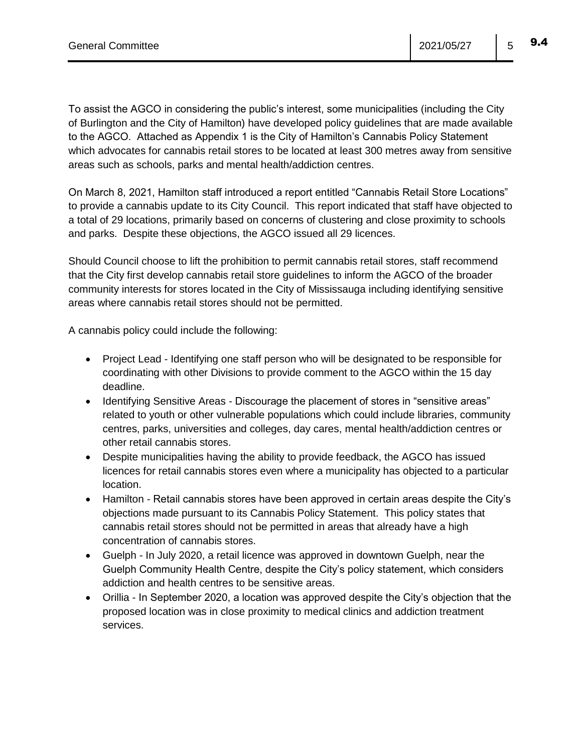To assist the AGCO in considering the public's interest, some municipalities (including the City of Burlington and the City of Hamilton) have developed policy guidelines that are made available to the AGCO. Attached as Appendix 1 is the City of Hamilton's Cannabis Policy Statement which advocates for cannabis retail stores to be located at least 300 metres away from sensitive areas such as schools, parks and mental health/addiction centres.

On March 8, 2021, Hamilton staff introduced a report entitled "Cannabis Retail Store Locations" to provide a cannabis update to its City Council. This report indicated that staff have objected to a total of 29 locations, primarily based on concerns of clustering and close proximity to schools and parks. Despite these objections, the AGCO issued all 29 licences.

Should Council choose to lift the prohibition to permit cannabis retail stores, staff recommend that the City first develop cannabis retail store guidelines to inform the AGCO of the broader community interests for stores located in the City of Mississauga including identifying sensitive areas where cannabis retail stores should not be permitted.

A cannabis policy could include the following:

- Project Lead Identifying one staff person who will be designated to be responsible for coordinating with other Divisions to provide comment to the AGCO within the 15 day deadline.
- Identifying Sensitive Areas Discourage the placement of stores in "sensitive areas" related to youth or other vulnerable populations which could include libraries, community centres, parks, universities and colleges, day cares, mental health/addiction centres or other retail cannabis stores.
- Despite municipalities having the ability to provide feedback, the AGCO has issued licences for retail cannabis stores even where a municipality has objected to a particular location.
- Hamilton Retail cannabis stores have been approved in certain areas despite the City's objections made pursuant to its Cannabis Policy Statement. This policy states that cannabis retail stores should not be permitted in areas that already have a high concentration of cannabis stores.
- Guelph In July 2020, a retail licence was approved in downtown Guelph, near the Guelph Community Health Centre, despite the City's policy statement, which considers addiction and health centres to be sensitive areas.
- Orillia In September 2020, a location was approved despite the City's objection that the proposed location was in close proximity to medical clinics and addiction treatment services.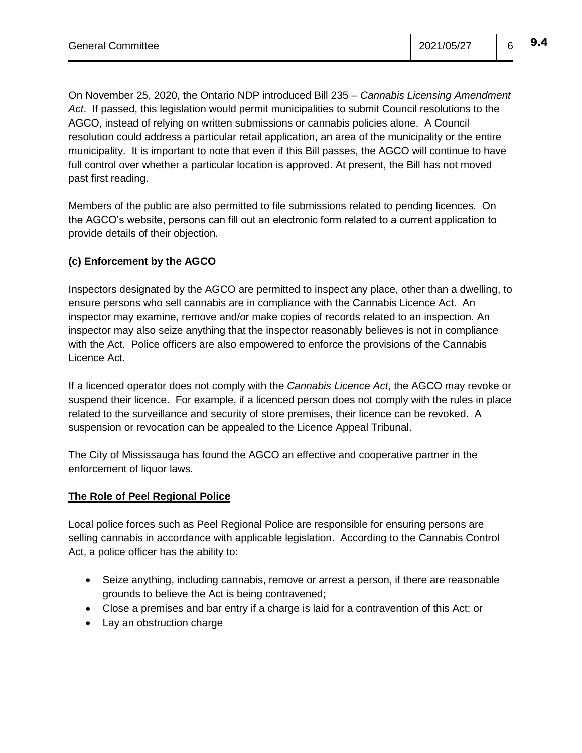On November 25, 2020, the Ontario NDP introduced Bill 235 – *Cannabis Licensing Amendment Act*. If passed, this legislation would permit municipalities to submit Council resolutions to the AGCO, instead of relying on written submissions or cannabis policies alone. A Council resolution could address a particular retail application, an area of the municipality or the entire municipality. It is important to note that even if this Bill passes, the AGCO will continue to have full control over whether a particular location is approved. At present, the Bill has not moved past first reading.

Members of the public are also permitted to file submissions related to pending licences. On the AGCO's website, persons can fill out an electronic form related to a current application to provide details of their objection.

#### **(c) Enforcement by the AGCO**

Inspectors designated by the AGCO are permitted to inspect any place, other than a dwelling, to ensure persons who sell cannabis are in compliance with the Cannabis Licence Act. An inspector may examine, remove and/or make copies of records related to an inspection. An inspector may also seize anything that the inspector reasonably believes is not in compliance with the Act. Police officers are also empowered to enforce the provisions of the Cannabis Licence Act.

If a licenced operator does not comply with the *Cannabis Licence Act*, the AGCO may revoke or suspend their licence. For example, if a licenced person does not comply with the rules in place related to the surveillance and security of store premises, their licence can be revoked. A suspension or revocation can be appealed to the Licence Appeal Tribunal.

The City of Mississauga has found the AGCO an effective and cooperative partner in the enforcement of liquor laws.

#### **The Role of Peel Regional Police**

Local police forces such as Peel Regional Police are responsible for ensuring persons are selling cannabis in accordance with applicable legislation. According to the Cannabis Control Act, a police officer has the ability to:

- Seize anything, including cannabis, remove or arrest a person, if there are reasonable grounds to believe the Act is being contravened;
- Close a premises and bar entry if a charge is laid for a contravention of this Act; or
- Lay an obstruction charge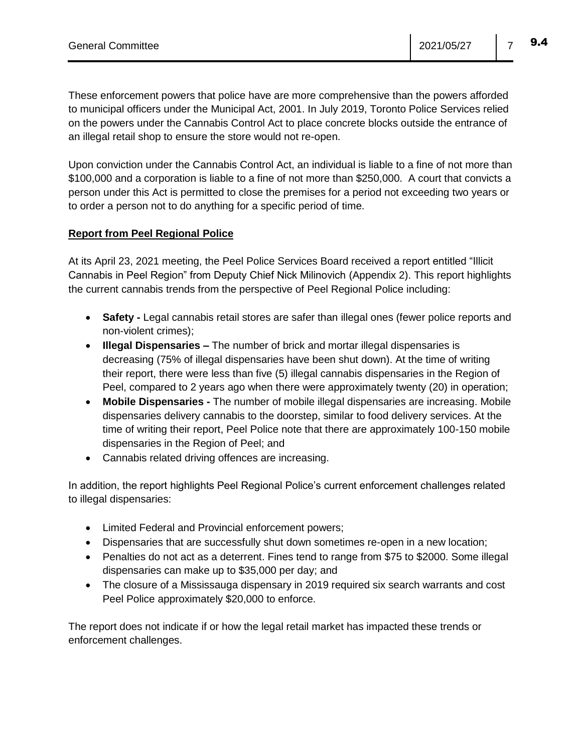These enforcement powers that police have are more comprehensive than the powers afforded to municipal officers under the Municipal Act, 2001. In July 2019, Toronto Police Services relied on the powers under the Cannabis Control Act to place concrete blocks outside the entrance of an illegal retail shop to ensure the store would not re-open.

Upon conviction under the Cannabis Control Act, an individual is liable to a fine of not more than \$100,000 and a corporation is liable to a fine of not more than \$250,000. A court that convicts a person under this Act is permitted to close the premises for a period not exceeding two years or to order a person not to do anything for a specific period of time.

#### **Report from Peel Regional Police**

At its April 23, 2021 meeting, the Peel Police Services Board received a report entitled "Illicit Cannabis in Peel Region" from Deputy Chief Nick Milinovich (Appendix 2). This report highlights the current cannabis trends from the perspective of Peel Regional Police including:

- **Safety -** Legal cannabis retail stores are safer than illegal ones (fewer police reports and non-violent crimes);
- **Illegal Dispensaries –** The number of brick and mortar illegal dispensaries is decreasing (75% of illegal dispensaries have been shut down). At the time of writing their report, there were less than five (5) illegal cannabis dispensaries in the Region of Peel, compared to 2 years ago when there were approximately twenty (20) in operation;
- **Mobile Dispensaries -** The number of mobile illegal dispensaries are increasing. Mobile dispensaries delivery cannabis to the doorstep, similar to food delivery services. At the time of writing their report, Peel Police note that there are approximately 100-150 mobile dispensaries in the Region of Peel; and
- Cannabis related driving offences are increasing.

In addition, the report highlights Peel Regional Police's current enforcement challenges related to illegal dispensaries:

- Limited Federal and Provincial enforcement powers;
- Dispensaries that are successfully shut down sometimes re-open in a new location;
- Penalties do not act as a deterrent. Fines tend to range from \$75 to \$2000. Some illegal dispensaries can make up to \$35,000 per day; and
- The closure of a Mississauga dispensary in 2019 required six search warrants and cost Peel Police approximately \$20,000 to enforce.

The report does not indicate if or how the legal retail market has impacted these trends or enforcement challenges.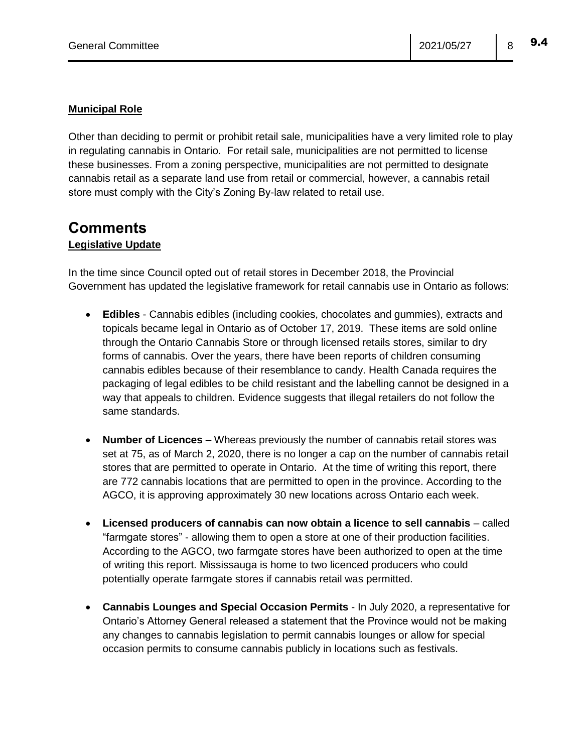#### 9.4

#### **Municipal Role**

Other than deciding to permit or prohibit retail sale, municipalities have a very limited role to play in regulating cannabis in Ontario. For retail sale, municipalities are not permitted to license these businesses. From a zoning perspective, municipalities are not permitted to designate cannabis retail as a separate land use from retail or commercial, however, a cannabis retail store must comply with the City's Zoning By-law related to retail use.

### **Comments Legislative Update**

In the time since Council opted out of retail stores in December 2018, the Provincial Government has updated the legislative framework for retail cannabis use in Ontario as follows:

- **Edibles** Cannabis edibles (including cookies, chocolates and gummies), extracts and topicals became legal in Ontario as of October 17, 2019. These items are sold online through the Ontario Cannabis Store or through licensed retails stores, similar to dry forms of cannabis. Over the years, there have been reports of children consuming cannabis edibles because of their resemblance to candy. Health Canada requires the packaging of legal edibles to be child resistant and the labelling cannot be designed in a way that appeals to children. Evidence suggests that illegal retailers do not follow the same standards.
- **Number of Licences** Whereas previously the number of cannabis retail stores was set at 75, as of March 2, 2020, there is no longer a cap on the number of cannabis retail stores that are permitted to operate in Ontario. At the time of writing this report, there are 772 cannabis locations that are permitted to open in the province. According to the AGCO, it is approving approximately 30 new locations across Ontario each week.
- **Licensed producers of cannabis can now obtain a licence to sell cannabis** called "farmgate stores" - allowing them to open a store at one of their production facilities. According to the AGCO, two farmgate stores have been authorized to open at the time of writing this report. Mississauga is home to two licenced producers who could potentially operate farmgate stores if cannabis retail was permitted.
- **Cannabis Lounges and Special Occasion Permits** In July 2020, a representative for Ontario's Attorney General released a statement that the Province would not be making any changes to cannabis legislation to permit cannabis lounges or allow for special occasion permits to consume cannabis publicly in locations such as festivals.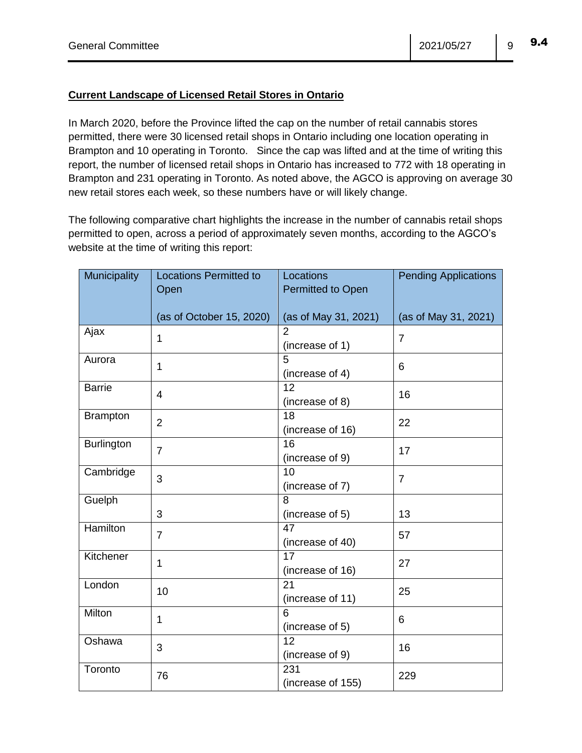#### **Current Landscape of Licensed Retail Stores in Ontario**

In March 2020, before the Province lifted the cap on the number of retail cannabis stores permitted, there were 30 licensed retail shops in Ontario including one location operating in Brampton and 10 operating in Toronto. Since the cap was lifted and at the time of writing this report, the number of licensed retail shops in Ontario has increased to 772 with 18 operating in Brampton and 231 operating in Toronto. As noted above, the AGCO is approving on average 30 new retail stores each week, so these numbers have or will likely change.

The following comparative chart highlights the increase in the number of cannabis retail shops permitted to open, across a period of approximately seven months, according to the AGCO's website at the time of writing this report:

| <b>Municipality</b> | <b>Locations Permitted to</b><br>Open | Locations<br><b>Permitted to Open</b> | <b>Pending Applications</b> |
|---------------------|---------------------------------------|---------------------------------------|-----------------------------|
|                     |                                       |                                       |                             |
|                     | (as of October 15, 2020)              | (as of May 31, 2021)                  | (as of May 31, 2021)        |
| Ajax                | $\mathbf 1$                           | $\overline{2}$                        | $\overline{7}$              |
|                     |                                       | (increase of 1)                       |                             |
| Aurora              | 1                                     | 5                                     | 6                           |
|                     |                                       | (increase of 4)                       |                             |
| <b>Barrie</b>       | $\overline{4}$                        | 12                                    | 16                          |
|                     |                                       | (increase of 8)                       |                             |
| <b>Brampton</b>     | $\overline{2}$                        | 18                                    | 22                          |
|                     |                                       | (increase of 16)                      |                             |
| <b>Burlington</b>   | $\overline{7}$                        | 16                                    | 17                          |
|                     |                                       | (increase of 9)                       |                             |
| Cambridge           | 3                                     | 10                                    | $\overline{7}$              |
|                     |                                       | (increase of 7)                       |                             |
| Guelph              |                                       | 8                                     |                             |
|                     | 3                                     | (increase of 5)                       | 13                          |
| <b>Hamilton</b>     | $\overline{7}$                        | 47                                    | 57                          |
|                     |                                       | (increase of 40)                      |                             |
| Kitchener           | 1                                     | 17                                    | 27                          |
|                     |                                       | (increase of 16)                      |                             |
| London              | 10                                    | 21                                    | 25                          |
|                     |                                       | (increase of 11)                      |                             |
| Milton              | 1                                     | 6                                     | 6                           |
|                     |                                       | (increase of 5)                       |                             |
| Oshawa              | 3                                     | 12                                    | 16                          |
|                     |                                       | (increase of 9)                       |                             |
| Toronto             | 76                                    | 231                                   | 229                         |
|                     |                                       | (increase of 155)                     |                             |

9.4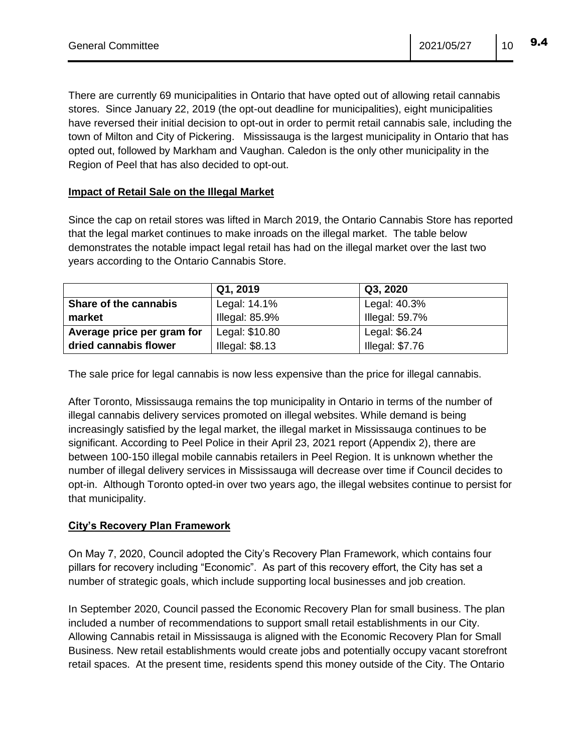There are currently 69 municipalities in Ontario that have opted out of allowing retail cannabis stores. Since January 22, 2019 (the opt-out deadline for municipalities), eight municipalities have reversed their initial decision to opt-out in order to permit retail cannabis sale, including the town of Milton and City of Pickering. Mississauga is the largest municipality in Ontario that has opted out, followed by Markham and Vaughan. Caledon is the only other municipality in the Region of Peel that has also decided to opt-out.

#### **Impact of Retail Sale on the Illegal Market**

Since the cap on retail stores was lifted in March 2019, the Ontario Cannabis Store has reported that the legal market continues to make inroads on the illegal market. The table below demonstrates the notable impact legal retail has had on the illegal market over the last two years according to the Ontario Cannabis Store.

|                            | Q1, 2019          | Q3, 2020         |
|----------------------------|-------------------|------------------|
| Share of the cannabis      | Legal: 14.1%      | Legal: 40.3%     |
| market                     | Illegal: $85.9\%$ | Illegal: $59.7%$ |
| Average price per gram for | Legal: \$10.80    | Legal: \$6.24    |
| dried cannabis flower      | Illegal: $$8.13$  | Illegal: $$7.76$ |

The sale price for legal cannabis is now less expensive than the price for illegal cannabis.

After Toronto, Mississauga remains the top municipality in Ontario in terms of the number of illegal cannabis delivery services promoted on illegal websites. While demand is being increasingly satisfied by the legal market, the illegal market in Mississauga continues to be significant. According to Peel Police in their April 23, 2021 report (Appendix 2), there are between 100-150 illegal mobile cannabis retailers in Peel Region. It is unknown whether the number of illegal delivery services in Mississauga will decrease over time if Council decides to opt-in. Although Toronto opted-in over two years ago, the illegal websites continue to persist for that municipality.

#### **City's Recovery Plan Framework**

On May 7, 2020, Council adopted the City's Recovery Plan Framework, which contains four pillars for recovery including "Economic". As part of this recovery effort, the City has set a number of strategic goals, which include supporting local businesses and job creation.

In September 2020, Council passed the Economic Recovery Plan for small business. The plan included a number of recommendations to support small retail establishments in our City. Allowing Cannabis retail in Mississauga is aligned with the Economic Recovery Plan for Small Business. New retail establishments would create jobs and potentially occupy vacant storefront retail spaces. At the present time, residents spend this money outside of the City. The Ontario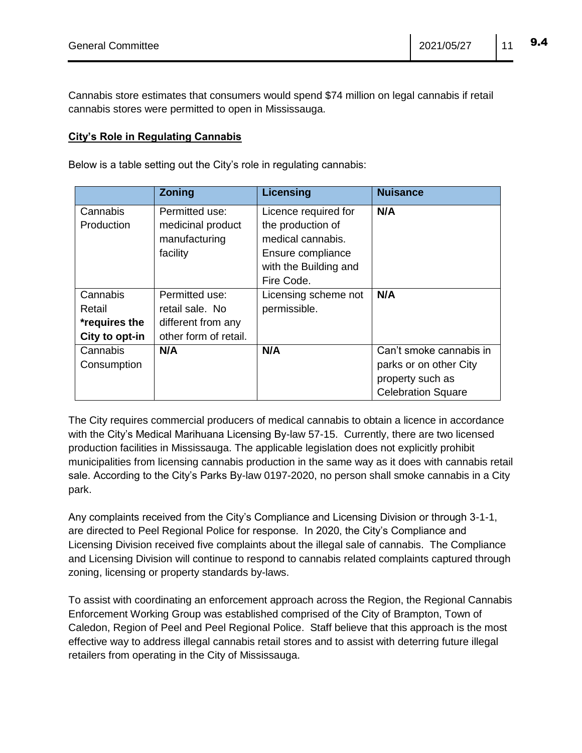Cannabis store estimates that consumers would spend \$74 million on legal cannabis if retail cannabis stores were permitted to open in Mississauga.

#### **City's Role in Regulating Cannabis**

Below is a table setting out the City's role in regulating cannabis:

|                | <b>Zoning</b>         | Licensing             | <b>Nuisance</b>           |
|----------------|-----------------------|-----------------------|---------------------------|
| Cannabis       | Permitted use:        | Licence required for  | N/A                       |
| Production     | medicinal product     | the production of     |                           |
|                | manufacturing         | medical cannabis.     |                           |
|                | facility              | Ensure compliance     |                           |
|                |                       | with the Building and |                           |
|                |                       | Fire Code.            |                           |
| Cannabis       | Permitted use:        | Licensing scheme not  | N/A                       |
| Retail         | retail sale. No       | permissible.          |                           |
| *requires the  | different from any    |                       |                           |
| City to opt-in | other form of retail. |                       |                           |
| Cannabis       | N/A                   | N/A                   | Can't smoke cannabis in   |
| Consumption    |                       |                       | parks or on other City    |
|                |                       |                       | property such as          |
|                |                       |                       | <b>Celebration Square</b> |

The City requires commercial producers of medical cannabis to obtain a licence in accordance with the City's Medical Marihuana Licensing By-law 57-15. Currently, there are two licensed production facilities in Mississauga. The applicable legislation does not explicitly prohibit municipalities from licensing cannabis production in the same way as it does with cannabis retail sale. According to the City's Parks By-law 0197-2020, no person shall smoke cannabis in a City park.

Any complaints received from the City's Compliance and Licensing Division or through 3-1-1, are directed to Peel Regional Police for response. In 2020, the City's Compliance and Licensing Division received five complaints about the illegal sale of cannabis. The Compliance and Licensing Division will continue to respond to cannabis related complaints captured through zoning, licensing or property standards by-laws.

To assist with coordinating an enforcement approach across the Region, the Regional Cannabis Enforcement Working Group was established comprised of the City of Brampton, Town of Caledon, Region of Peel and Peel Regional Police. Staff believe that this approach is the most effective way to address illegal cannabis retail stores and to assist with deterring future illegal retailers from operating in the City of Mississauga.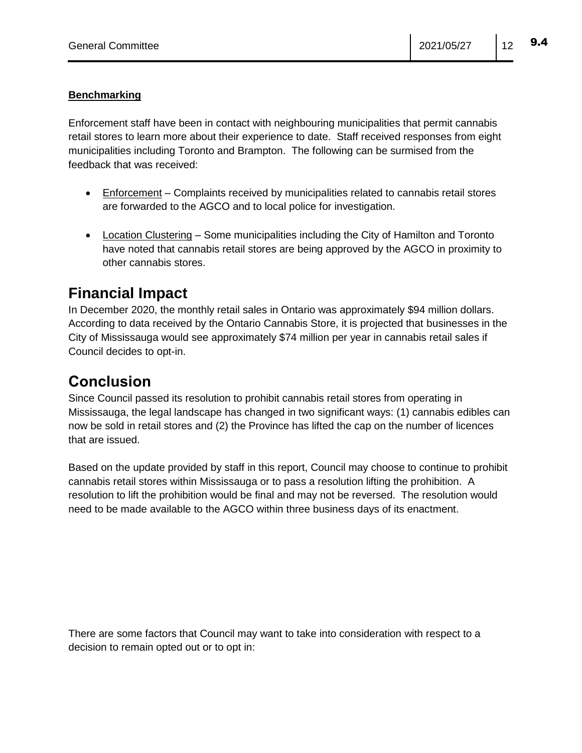#### **Benchmarking**

Enforcement staff have been in contact with neighbouring municipalities that permit cannabis retail stores to learn more about their experience to date. Staff received responses from eight municipalities including Toronto and Brampton. The following can be surmised from the feedback that was received:

- Enforcement Complaints received by municipalities related to cannabis retail stores are forwarded to the AGCO and to local police for investigation.
- Location Clustering Some municipalities including the City of Hamilton and Toronto have noted that cannabis retail stores are being approved by the AGCO in proximity to other cannabis stores.

### **Financial Impact**

In December 2020, the monthly retail sales in Ontario was approximately \$94 million dollars. According to data received by the Ontario Cannabis Store, it is projected that businesses in the City of Mississauga would see approximately \$74 million per year in cannabis retail sales if Council decides to opt-in.

### **Conclusion**

Since Council passed its resolution to prohibit cannabis retail stores from operating in Mississauga, the legal landscape has changed in two significant ways: (1) cannabis edibles can now be sold in retail stores and (2) the Province has lifted the cap on the number of licences that are issued.

Based on the update provided by staff in this report, Council may choose to continue to prohibit cannabis retail stores within Mississauga or to pass a resolution lifting the prohibition. A resolution to lift the prohibition would be final and may not be reversed. The resolution would need to be made available to the AGCO within three business days of its enactment.

There are some factors that Council may want to take into consideration with respect to a decision to remain opted out or to opt in: